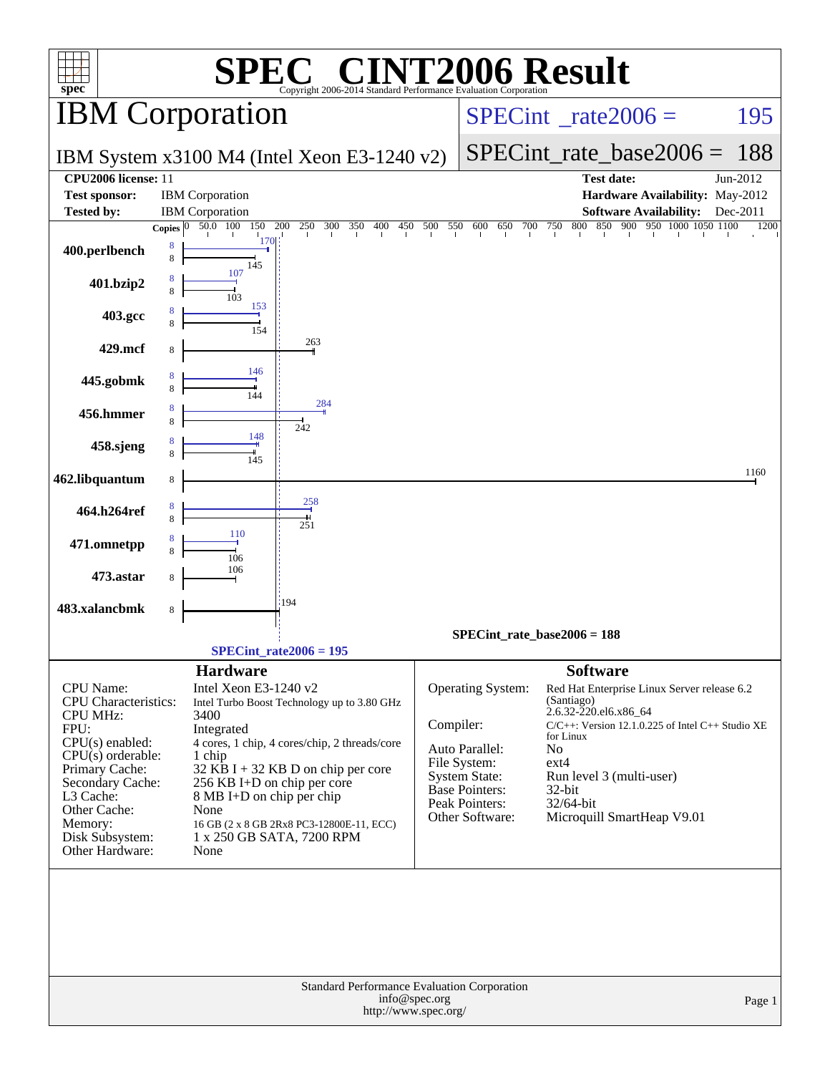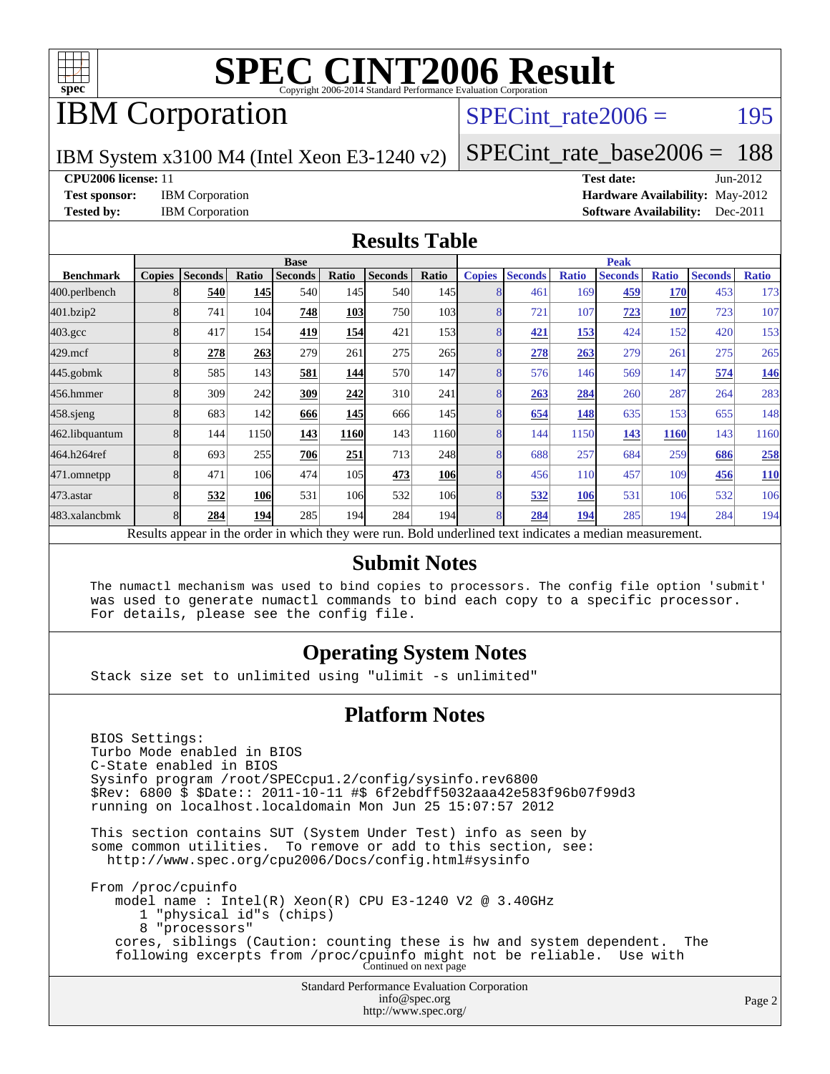

# IBM Corporation

### SPECint rate $2006 = 195$

IBM System x3100 M4 (Intel Xeon E3-1240 v2)

[SPECint\\_rate\\_base2006 =](http://www.spec.org/auto/cpu2006/Docs/result-fields.html#SPECintratebase2006) 188

**[CPU2006 license:](http://www.spec.org/auto/cpu2006/Docs/result-fields.html#CPU2006license)** 11 **[Test date:](http://www.spec.org/auto/cpu2006/Docs/result-fields.html#Testdate)** Jun-2012 **[Test sponsor:](http://www.spec.org/auto/cpu2006/Docs/result-fields.html#Testsponsor)** IBM Corporation **[Hardware Availability:](http://www.spec.org/auto/cpu2006/Docs/result-fields.html#HardwareAvailability)** May-2012 **[Tested by:](http://www.spec.org/auto/cpu2006/Docs/result-fields.html#Testedby)** IBM Corporation **[Software Availability:](http://www.spec.org/auto/cpu2006/Docs/result-fields.html#SoftwareAvailability)** Dec-2011

### **[Results Table](http://www.spec.org/auto/cpu2006/Docs/result-fields.html#ResultsTable)**

|                    | <b>Base</b>   |                |       |                                                                                                          |                 |                |            | <b>Peak</b>   |                |              |                |              |                |              |
|--------------------|---------------|----------------|-------|----------------------------------------------------------------------------------------------------------|-----------------|----------------|------------|---------------|----------------|--------------|----------------|--------------|----------------|--------------|
| <b>Benchmark</b>   | <b>Copies</b> | <b>Seconds</b> | Ratio | <b>Seconds</b>                                                                                           | Ratio           | <b>Seconds</b> | Ratio      | <b>Copies</b> | <b>Seconds</b> | <b>Ratio</b> | <b>Seconds</b> | <b>Ratio</b> | <b>Seconds</b> | <b>Ratio</b> |
| 400.perlbench      | 8             | 540            | 145   | 540                                                                                                      | 145I            | 540            | 145I       |               | 461            | 169          | 459            | <b>170</b>   | 453            | 173          |
| 401.bzip2          | 8             | 741            | 104   | 748                                                                                                      | 103             | 750            | 103        | 8             | 721            | 107          | 723            | 107          | 723            | 107          |
| $403.\mathrm{gcc}$ | 8             | 417            | 154   | 419                                                                                                      | 154             | 421            | 153        | 8             | 421            | 153          | 424            | 152          | 420            | 153          |
| $429$ .mcf         |               | 278            | 263   | 279                                                                                                      | 261             | 275            | 265        |               | 278            | 263          | 279            | 261          | 275            | 265          |
| $445$ .gobmk       | 8             | 585            | 143   | 581                                                                                                      | 144             | 570            | 147        | 8             | 576            | 146          | 569            | 147          | 574            | <u>146</u>   |
| 456.hmmer          | 8             | 309            | 242   | 309                                                                                                      | 242             | 310            | 241        | 8             | 263            | 284          | 260            | 287          | 264            | 283          |
| $458$ .sjeng       |               | 683            | 142   | 666                                                                                                      | 145             | 666            | 145        | 8             | 654            | 148          | 635            | 153          | 655            | 148          |
| 462.libquantum     | 8             | 144            | 1150  | 143                                                                                                      | 1160            | 143            | 1160       | 8             | 144            | 1150         | 143            | <b>1160</b>  | 143            | 1160         |
| 464.h264ref        | 8             | 693            | 255   | 706                                                                                                      | 251             | 713            | 248        | 8             | 688            | 257          | 684            | 259          | 686            | 258          |
| 471.omnetpp        |               | 471            | 106   | 474                                                                                                      | 105             | 473            | <b>106</b> | 8             | 456            | 110          | 457            | 109          | 456            | <b>110</b>   |
| 473.astar          |               | 532            | 106   | 531                                                                                                      | 10 <sub>6</sub> | 532            | 106        | 8             | 532            | 106          | 531            | 106          | 532            | 106          |
| 483.xalancbmk      | 8             | 284            | 194   | 285                                                                                                      | 194             | 284            | 194        | 8             | 284            | 194          | 285            | 194          | 284            | 194          |
|                    |               |                |       | Results appear in the order in which they were run. Bold underlined text indicates a median measurement. |                 |                |            |               |                |              |                |              |                |              |

### **[Submit Notes](http://www.spec.org/auto/cpu2006/Docs/result-fields.html#SubmitNotes)**

 The numactl mechanism was used to bind copies to processors. The config file option 'submit' was used to generate numactl commands to bind each copy to a specific processor. For details, please see the config file.

### **[Operating System Notes](http://www.spec.org/auto/cpu2006/Docs/result-fields.html#OperatingSystemNotes)**

Stack size set to unlimited using "ulimit -s unlimited"

### **[Platform Notes](http://www.spec.org/auto/cpu2006/Docs/result-fields.html#PlatformNotes)**

Standard Performance Evaluation Corporation [info@spec.org](mailto:info@spec.org) BIOS Settings: Turbo Mode enabled in BIOS C-State enabled in BIOS Sysinfo program /root/SPECcpu1.2/config/sysinfo.rev6800 \$Rev: 6800 \$ \$Date:: 2011-10-11 #\$ 6f2ebdff5032aaa42e583f96b07f99d3 running on localhost.localdomain Mon Jun 25 15:07:57 2012 This section contains SUT (System Under Test) info as seen by some common utilities. To remove or add to this section, see: <http://www.spec.org/cpu2006/Docs/config.html#sysinfo> From /proc/cpuinfo model name : Intel(R) Xeon(R) CPU E3-1240 V2 @ 3.40GHz 1 "physical id"s (chips) 8 "processors" cores, siblings (Caution: counting these is hw and system dependent. The following excerpts from /proc/cpuinfo might not be reliable. Use with Continued on next page

<http://www.spec.org/>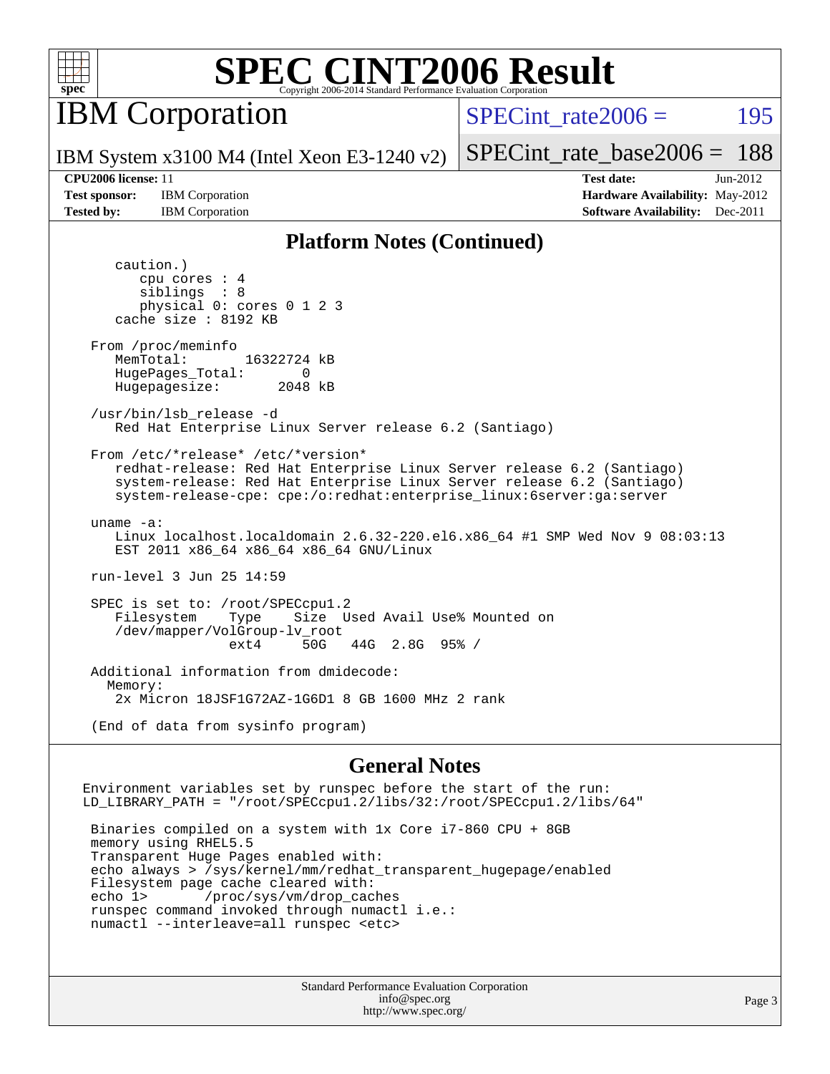

IBM Corporation

SPECint rate $2006 = 195$ 

IBM System x3100 M4 (Intel Xeon E3-1240 v2)

[SPECint\\_rate\\_base2006 =](http://www.spec.org/auto/cpu2006/Docs/result-fields.html#SPECintratebase2006) 188

**[CPU2006 license:](http://www.spec.org/auto/cpu2006/Docs/result-fields.html#CPU2006license)** 11 **[Test date:](http://www.spec.org/auto/cpu2006/Docs/result-fields.html#Testdate)** Jun-2012 **[Test sponsor:](http://www.spec.org/auto/cpu2006/Docs/result-fields.html#Testsponsor)** IBM Corporation **[Hardware Availability:](http://www.spec.org/auto/cpu2006/Docs/result-fields.html#HardwareAvailability)** May-2012 **[Tested by:](http://www.spec.org/auto/cpu2006/Docs/result-fields.html#Testedby)** IBM Corporation **[Software Availability:](http://www.spec.org/auto/cpu2006/Docs/result-fields.html#SoftwareAvailability)** Dec-2011

### **[Platform Notes \(Continued\)](http://www.spec.org/auto/cpu2006/Docs/result-fields.html#PlatformNotes)**

 caution.) cpu cores : 4 siblings : 8 physical 0: cores 0 1 2 3 cache size : 8192 KB From /proc/meminfo MemTotal: 16322724 kB HugePages\_Total: 0<br>Hugepagesize: 2048 kB Hugepagesize: /usr/bin/lsb\_release -d Red Hat Enterprise Linux Server release 6.2 (Santiago) From /etc/\*release\* /etc/\*version\* redhat-release: Red Hat Enterprise Linux Server release 6.2 (Santiago) system-release: Red Hat Enterprise Linux Server release 6.2 (Santiago) system-release-cpe: cpe:/o:redhat:enterprise\_linux:6server:ga:server uname -a: Linux localhost.localdomain 2.6.32-220.el6.x86\_64 #1 SMP Wed Nov 9 08:03:13 EST 2011 x86\_64 x86\_64 x86\_64 GNU/Linux run-level 3 Jun 25 14:59 SPEC is set to: /root/SPECcpu1.2 Filesystem Type Size Used Avail Use% Mounted on /dev/mapper/VolGroup-lv\_root ext4 50G 44G 2.8G 95% / Additional information from dmidecode: Memory: 2x Micron 18JSF1G72AZ-1G6D1 8 GB 1600 MHz 2 rank (End of data from sysinfo program)

### **[General Notes](http://www.spec.org/auto/cpu2006/Docs/result-fields.html#GeneralNotes)**

Environment variables set by runspec before the start of the run: LD\_LIBRARY\_PATH = "/root/SPECcpu1.2/libs/32:/root/SPECcpu1.2/libs/64"

 Binaries compiled on a system with 1x Core i7-860 CPU + 8GB memory using RHEL5.5 Transparent Huge Pages enabled with: echo always > /sys/kernel/mm/redhat\_transparent\_hugepage/enabled Filesystem page cache cleared with: echo 1> /proc/sys/vm/drop\_caches runspec command invoked through numactl i.e.: numactl --interleave=all runspec <etc>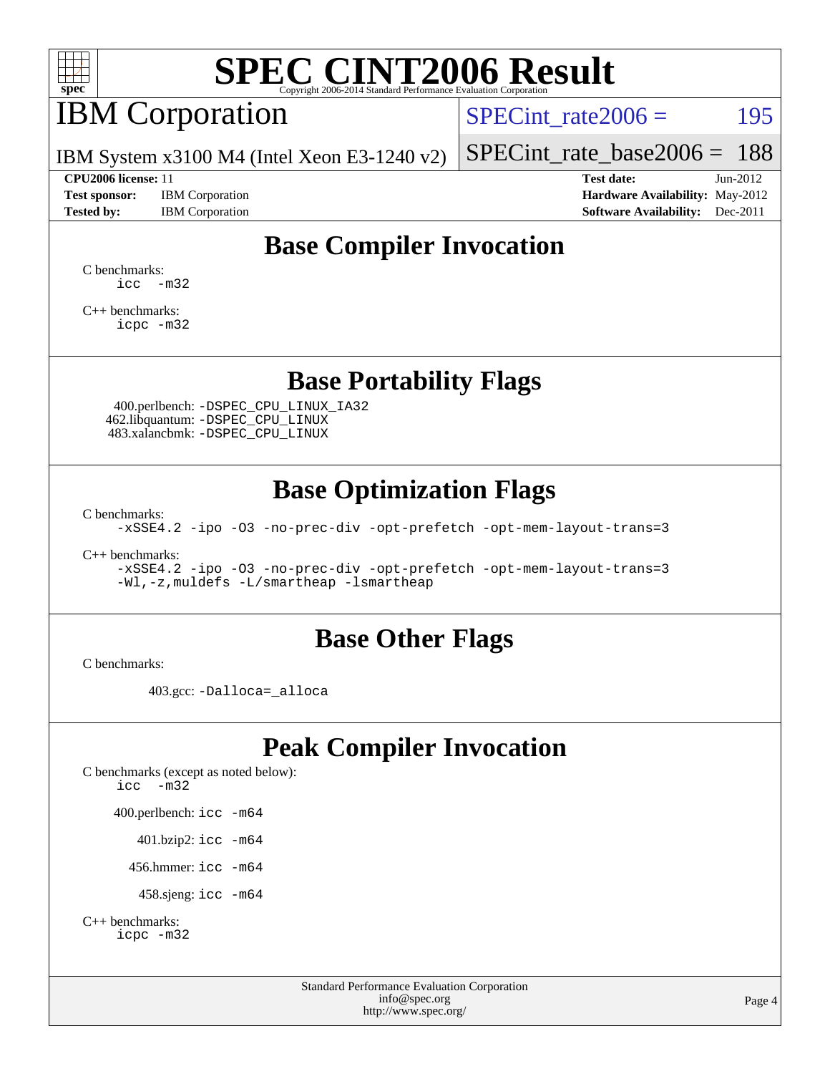

# IBM Corporation

 $SPECTnt_rate2006 = 195$ 

IBM System x3100 M4 (Intel Xeon E3-1240 v2)

### **[CPU2006 license:](http://www.spec.org/auto/cpu2006/Docs/result-fields.html#CPU2006license)** 11 **[Test date:](http://www.spec.org/auto/cpu2006/Docs/result-fields.html#Testdate)** Jun-2012

**[Test sponsor:](http://www.spec.org/auto/cpu2006/Docs/result-fields.html#Testsponsor)** IBM Corporation **[Hardware Availability:](http://www.spec.org/auto/cpu2006/Docs/result-fields.html#HardwareAvailability)** May-2012

[SPECint\\_rate\\_base2006 =](http://www.spec.org/auto/cpu2006/Docs/result-fields.html#SPECintratebase2006) 188

**[Tested by:](http://www.spec.org/auto/cpu2006/Docs/result-fields.html#Testedby)** IBM Corporation **[Software Availability:](http://www.spec.org/auto/cpu2006/Docs/result-fields.html#SoftwareAvailability)** Dec-2011

## **[Base Compiler Invocation](http://www.spec.org/auto/cpu2006/Docs/result-fields.html#BaseCompilerInvocation)**

[C benchmarks](http://www.spec.org/auto/cpu2006/Docs/result-fields.html#Cbenchmarks):  $\text{icc}$   $-\text{m32}$ 

[C++ benchmarks:](http://www.spec.org/auto/cpu2006/Docs/result-fields.html#CXXbenchmarks) [icpc -m32](http://www.spec.org/cpu2006/results/res2012q3/cpu2006-20120628-23216.flags.html#user_CXXbase_intel_icpc_4e5a5ef1a53fd332b3c49e69c3330699)

### **[Base Portability Flags](http://www.spec.org/auto/cpu2006/Docs/result-fields.html#BasePortabilityFlags)**

 400.perlbench: [-DSPEC\\_CPU\\_LINUX\\_IA32](http://www.spec.org/cpu2006/results/res2012q3/cpu2006-20120628-23216.flags.html#b400.perlbench_baseCPORTABILITY_DSPEC_CPU_LINUX_IA32) 462.libquantum: [-DSPEC\\_CPU\\_LINUX](http://www.spec.org/cpu2006/results/res2012q3/cpu2006-20120628-23216.flags.html#b462.libquantum_baseCPORTABILITY_DSPEC_CPU_LINUX) 483.xalancbmk: [-DSPEC\\_CPU\\_LINUX](http://www.spec.org/cpu2006/results/res2012q3/cpu2006-20120628-23216.flags.html#b483.xalancbmk_baseCXXPORTABILITY_DSPEC_CPU_LINUX)

## **[Base Optimization Flags](http://www.spec.org/auto/cpu2006/Docs/result-fields.html#BaseOptimizationFlags)**

[C benchmarks](http://www.spec.org/auto/cpu2006/Docs/result-fields.html#Cbenchmarks):

[-xSSE4.2](http://www.spec.org/cpu2006/results/res2012q3/cpu2006-20120628-23216.flags.html#user_CCbase_f-xSSE42_f91528193cf0b216347adb8b939d4107) [-ipo](http://www.spec.org/cpu2006/results/res2012q3/cpu2006-20120628-23216.flags.html#user_CCbase_f-ipo) [-O3](http://www.spec.org/cpu2006/results/res2012q3/cpu2006-20120628-23216.flags.html#user_CCbase_f-O3) [-no-prec-div](http://www.spec.org/cpu2006/results/res2012q3/cpu2006-20120628-23216.flags.html#user_CCbase_f-no-prec-div) [-opt-prefetch](http://www.spec.org/cpu2006/results/res2012q3/cpu2006-20120628-23216.flags.html#user_CCbase_f-opt-prefetch) [-opt-mem-layout-trans=3](http://www.spec.org/cpu2006/results/res2012q3/cpu2006-20120628-23216.flags.html#user_CCbase_f-opt-mem-layout-trans_a7b82ad4bd7abf52556d4961a2ae94d5)

[C++ benchmarks:](http://www.spec.org/auto/cpu2006/Docs/result-fields.html#CXXbenchmarks)

[-xSSE4.2](http://www.spec.org/cpu2006/results/res2012q3/cpu2006-20120628-23216.flags.html#user_CXXbase_f-xSSE42_f91528193cf0b216347adb8b939d4107) [-ipo](http://www.spec.org/cpu2006/results/res2012q3/cpu2006-20120628-23216.flags.html#user_CXXbase_f-ipo) [-O3](http://www.spec.org/cpu2006/results/res2012q3/cpu2006-20120628-23216.flags.html#user_CXXbase_f-O3) [-no-prec-div](http://www.spec.org/cpu2006/results/res2012q3/cpu2006-20120628-23216.flags.html#user_CXXbase_f-no-prec-div) [-opt-prefetch](http://www.spec.org/cpu2006/results/res2012q3/cpu2006-20120628-23216.flags.html#user_CXXbase_f-opt-prefetch) [-opt-mem-layout-trans=3](http://www.spec.org/cpu2006/results/res2012q3/cpu2006-20120628-23216.flags.html#user_CXXbase_f-opt-mem-layout-trans_a7b82ad4bd7abf52556d4961a2ae94d5) [-Wl,-z,muldefs](http://www.spec.org/cpu2006/results/res2012q3/cpu2006-20120628-23216.flags.html#user_CXXbase_link_force_multiple1_74079c344b956b9658436fd1b6dd3a8a) [-L/smartheap -lsmartheap](http://www.spec.org/cpu2006/results/res2012q3/cpu2006-20120628-23216.flags.html#user_CXXbase_SmartHeap_7c9e394a5779e1a7fec7c221e123830c)

### **[Base Other Flags](http://www.spec.org/auto/cpu2006/Docs/result-fields.html#BaseOtherFlags)**

[C benchmarks](http://www.spec.org/auto/cpu2006/Docs/result-fields.html#Cbenchmarks):

403.gcc: [-Dalloca=\\_alloca](http://www.spec.org/cpu2006/results/res2012q3/cpu2006-20120628-23216.flags.html#b403.gcc_baseEXTRA_CFLAGS_Dalloca_be3056838c12de2578596ca5467af7f3)

## **[Peak Compiler Invocation](http://www.spec.org/auto/cpu2006/Docs/result-fields.html#PeakCompilerInvocation)**

[C benchmarks \(except as noted below\)](http://www.spec.org/auto/cpu2006/Docs/result-fields.html#Cbenchmarksexceptasnotedbelow): [icc -m32](http://www.spec.org/cpu2006/results/res2012q3/cpu2006-20120628-23216.flags.html#user_CCpeak_intel_icc_5ff4a39e364c98233615fdd38438c6f2) 400.perlbench: [icc -m64](http://www.spec.org/cpu2006/results/res2012q3/cpu2006-20120628-23216.flags.html#user_peakCCLD400_perlbench_intel_icc_64bit_bda6cc9af1fdbb0edc3795bac97ada53) 401.bzip2: [icc -m64](http://www.spec.org/cpu2006/results/res2012q3/cpu2006-20120628-23216.flags.html#user_peakCCLD401_bzip2_intel_icc_64bit_bda6cc9af1fdbb0edc3795bac97ada53)

456.hmmer: [icc -m64](http://www.spec.org/cpu2006/results/res2012q3/cpu2006-20120628-23216.flags.html#user_peakCCLD456_hmmer_intel_icc_64bit_bda6cc9af1fdbb0edc3795bac97ada53)

458.sjeng: [icc -m64](http://www.spec.org/cpu2006/results/res2012q3/cpu2006-20120628-23216.flags.html#user_peakCCLD458_sjeng_intel_icc_64bit_bda6cc9af1fdbb0edc3795bac97ada53)

```
C++ benchmarks: 
icpc -m32
```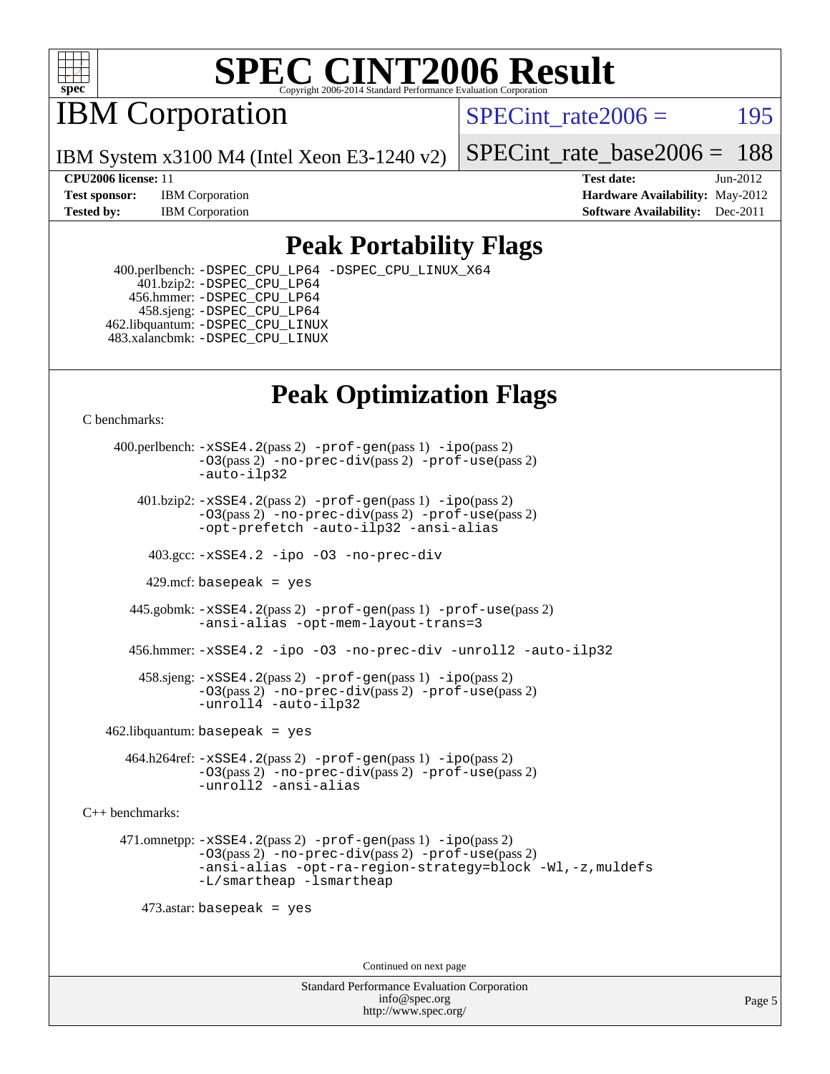

IBM Corporation

SPECint rate $2006 = 195$ 

IBM System x3100 M4 (Intel Xeon E3-1240 v2)

[SPECint\\_rate\\_base2006 =](http://www.spec.org/auto/cpu2006/Docs/result-fields.html#SPECintratebase2006) 188

**[CPU2006 license:](http://www.spec.org/auto/cpu2006/Docs/result-fields.html#CPU2006license)** 11 **[Test date:](http://www.spec.org/auto/cpu2006/Docs/result-fields.html#Testdate)** Jun-2012 **[Test sponsor:](http://www.spec.org/auto/cpu2006/Docs/result-fields.html#Testsponsor)** IBM Corporation **[Hardware Availability:](http://www.spec.org/auto/cpu2006/Docs/result-fields.html#HardwareAvailability)** May-2012 **[Tested by:](http://www.spec.org/auto/cpu2006/Docs/result-fields.html#Testedby)** IBM Corporation **[Software Availability:](http://www.spec.org/auto/cpu2006/Docs/result-fields.html#SoftwareAvailability)** Dec-2011

## **[Peak Portability Flags](http://www.spec.org/auto/cpu2006/Docs/result-fields.html#PeakPortabilityFlags)**

 400.perlbench: [-DSPEC\\_CPU\\_LP64](http://www.spec.org/cpu2006/results/res2012q3/cpu2006-20120628-23216.flags.html#b400.perlbench_peakCPORTABILITY_DSPEC_CPU_LP64) [-DSPEC\\_CPU\\_LINUX\\_X64](http://www.spec.org/cpu2006/results/res2012q3/cpu2006-20120628-23216.flags.html#b400.perlbench_peakCPORTABILITY_DSPEC_CPU_LINUX_X64) 401.bzip2: [-DSPEC\\_CPU\\_LP64](http://www.spec.org/cpu2006/results/res2012q3/cpu2006-20120628-23216.flags.html#suite_peakCPORTABILITY401_bzip2_DSPEC_CPU_LP64) 456.hmmer: [-DSPEC\\_CPU\\_LP64](http://www.spec.org/cpu2006/results/res2012q3/cpu2006-20120628-23216.flags.html#suite_peakCPORTABILITY456_hmmer_DSPEC_CPU_LP64) 458.sjeng: [-DSPEC\\_CPU\\_LP64](http://www.spec.org/cpu2006/results/res2012q3/cpu2006-20120628-23216.flags.html#suite_peakCPORTABILITY458_sjeng_DSPEC_CPU_LP64) 462.libquantum: [-DSPEC\\_CPU\\_LINUX](http://www.spec.org/cpu2006/results/res2012q3/cpu2006-20120628-23216.flags.html#b462.libquantum_peakCPORTABILITY_DSPEC_CPU_LINUX) 483.xalancbmk: [-DSPEC\\_CPU\\_LINUX](http://www.spec.org/cpu2006/results/res2012q3/cpu2006-20120628-23216.flags.html#b483.xalancbmk_peakCXXPORTABILITY_DSPEC_CPU_LINUX)

## **[Peak Optimization Flags](http://www.spec.org/auto/cpu2006/Docs/result-fields.html#PeakOptimizationFlags)**

[C benchmarks](http://www.spec.org/auto/cpu2006/Docs/result-fields.html#Cbenchmarks):

 400.perlbench: [-xSSE4.2](http://www.spec.org/cpu2006/results/res2012q3/cpu2006-20120628-23216.flags.html#user_peakPASS2_CFLAGSPASS2_LDCFLAGS400_perlbench_f-xSSE42_f91528193cf0b216347adb8b939d4107)(pass 2) [-prof-gen](http://www.spec.org/cpu2006/results/res2012q3/cpu2006-20120628-23216.flags.html#user_peakPASS1_CFLAGSPASS1_LDCFLAGS400_perlbench_prof_gen_e43856698f6ca7b7e442dfd80e94a8fc)(pass 1) [-ipo](http://www.spec.org/cpu2006/results/res2012q3/cpu2006-20120628-23216.flags.html#user_peakPASS2_CFLAGSPASS2_LDCFLAGS400_perlbench_f-ipo)(pass 2) [-O3](http://www.spec.org/cpu2006/results/res2012q3/cpu2006-20120628-23216.flags.html#user_peakPASS2_CFLAGSPASS2_LDCFLAGS400_perlbench_f-O3)(pass 2) [-no-prec-div](http://www.spec.org/cpu2006/results/res2012q3/cpu2006-20120628-23216.flags.html#user_peakPASS2_CFLAGSPASS2_LDCFLAGS400_perlbench_f-no-prec-div)(pass 2) [-prof-use](http://www.spec.org/cpu2006/results/res2012q3/cpu2006-20120628-23216.flags.html#user_peakPASS2_CFLAGSPASS2_LDCFLAGS400_perlbench_prof_use_bccf7792157ff70d64e32fe3e1250b55)(pass 2) [-auto-ilp32](http://www.spec.org/cpu2006/results/res2012q3/cpu2006-20120628-23216.flags.html#user_peakCOPTIMIZE400_perlbench_f-auto-ilp32)  $401.bzip2: -xSSE4.2(pass 2) -prof-qen(pass 1) -ipo(pass 2)$  $401.bzip2: -xSSE4.2(pass 2) -prof-qen(pass 1) -ipo(pass 2)$  $401.bzip2: -xSSE4.2(pass 2) -prof-qen(pass 1) -ipo(pass 2)$  $401.bzip2: -xSSE4.2(pass 2) -prof-qen(pass 1) -ipo(pass 2)$  $401.bzip2: -xSSE4.2(pass 2) -prof-qen(pass 1) -ipo(pass 2)$ [-O3](http://www.spec.org/cpu2006/results/res2012q3/cpu2006-20120628-23216.flags.html#user_peakPASS2_CFLAGSPASS2_LDCFLAGS401_bzip2_f-O3)(pass 2) [-no-prec-div](http://www.spec.org/cpu2006/results/res2012q3/cpu2006-20120628-23216.flags.html#user_peakPASS2_CFLAGSPASS2_LDCFLAGS401_bzip2_f-no-prec-div)(pass 2) [-prof-use](http://www.spec.org/cpu2006/results/res2012q3/cpu2006-20120628-23216.flags.html#user_peakPASS2_CFLAGSPASS2_LDCFLAGS401_bzip2_prof_use_bccf7792157ff70d64e32fe3e1250b55)(pass 2) [-opt-prefetch](http://www.spec.org/cpu2006/results/res2012q3/cpu2006-20120628-23216.flags.html#user_peakCOPTIMIZE401_bzip2_f-opt-prefetch) [-auto-ilp32](http://www.spec.org/cpu2006/results/res2012q3/cpu2006-20120628-23216.flags.html#user_peakCOPTIMIZE401_bzip2_f-auto-ilp32) [-ansi-alias](http://www.spec.org/cpu2006/results/res2012q3/cpu2006-20120628-23216.flags.html#user_peakCOPTIMIZE401_bzip2_f-ansi-alias) 403.gcc: [-xSSE4.2](http://www.spec.org/cpu2006/results/res2012q3/cpu2006-20120628-23216.flags.html#user_peakCOPTIMIZE403_gcc_f-xSSE42_f91528193cf0b216347adb8b939d4107) [-ipo](http://www.spec.org/cpu2006/results/res2012q3/cpu2006-20120628-23216.flags.html#user_peakCOPTIMIZE403_gcc_f-ipo) [-O3](http://www.spec.org/cpu2006/results/res2012q3/cpu2006-20120628-23216.flags.html#user_peakCOPTIMIZE403_gcc_f-O3) [-no-prec-div](http://www.spec.org/cpu2006/results/res2012q3/cpu2006-20120628-23216.flags.html#user_peakCOPTIMIZE403_gcc_f-no-prec-div) 429.mcf: basepeak = yes 445.gobmk: [-xSSE4.2](http://www.spec.org/cpu2006/results/res2012q3/cpu2006-20120628-23216.flags.html#user_peakPASS2_CFLAGSPASS2_LDCFLAGS445_gobmk_f-xSSE42_f91528193cf0b216347adb8b939d4107)(pass 2) [-prof-gen](http://www.spec.org/cpu2006/results/res2012q3/cpu2006-20120628-23216.flags.html#user_peakPASS1_CFLAGSPASS1_LDCFLAGS445_gobmk_prof_gen_e43856698f6ca7b7e442dfd80e94a8fc)(pass 1) [-prof-use](http://www.spec.org/cpu2006/results/res2012q3/cpu2006-20120628-23216.flags.html#user_peakPASS2_CFLAGSPASS2_LDCFLAGS445_gobmk_prof_use_bccf7792157ff70d64e32fe3e1250b55)(pass 2) [-ansi-alias](http://www.spec.org/cpu2006/results/res2012q3/cpu2006-20120628-23216.flags.html#user_peakCOPTIMIZE445_gobmk_f-ansi-alias) [-opt-mem-layout-trans=3](http://www.spec.org/cpu2006/results/res2012q3/cpu2006-20120628-23216.flags.html#user_peakCOPTIMIZE445_gobmk_f-opt-mem-layout-trans_a7b82ad4bd7abf52556d4961a2ae94d5) 456.hmmer: [-xSSE4.2](http://www.spec.org/cpu2006/results/res2012q3/cpu2006-20120628-23216.flags.html#user_peakCOPTIMIZE456_hmmer_f-xSSE42_f91528193cf0b216347adb8b939d4107) [-ipo](http://www.spec.org/cpu2006/results/res2012q3/cpu2006-20120628-23216.flags.html#user_peakCOPTIMIZE456_hmmer_f-ipo) [-O3](http://www.spec.org/cpu2006/results/res2012q3/cpu2006-20120628-23216.flags.html#user_peakCOPTIMIZE456_hmmer_f-O3) [-no-prec-div](http://www.spec.org/cpu2006/results/res2012q3/cpu2006-20120628-23216.flags.html#user_peakCOPTIMIZE456_hmmer_f-no-prec-div) [-unroll2](http://www.spec.org/cpu2006/results/res2012q3/cpu2006-20120628-23216.flags.html#user_peakCOPTIMIZE456_hmmer_f-unroll_784dae83bebfb236979b41d2422d7ec2) [-auto-ilp32](http://www.spec.org/cpu2006/results/res2012q3/cpu2006-20120628-23216.flags.html#user_peakCOPTIMIZE456_hmmer_f-auto-ilp32) 458.sjeng: [-xSSE4.2](http://www.spec.org/cpu2006/results/res2012q3/cpu2006-20120628-23216.flags.html#user_peakPASS2_CFLAGSPASS2_LDCFLAGS458_sjeng_f-xSSE42_f91528193cf0b216347adb8b939d4107)(pass 2) [-prof-gen](http://www.spec.org/cpu2006/results/res2012q3/cpu2006-20120628-23216.flags.html#user_peakPASS1_CFLAGSPASS1_LDCFLAGS458_sjeng_prof_gen_e43856698f6ca7b7e442dfd80e94a8fc)(pass 1) [-ipo](http://www.spec.org/cpu2006/results/res2012q3/cpu2006-20120628-23216.flags.html#user_peakPASS2_CFLAGSPASS2_LDCFLAGS458_sjeng_f-ipo)(pass 2) [-O3](http://www.spec.org/cpu2006/results/res2012q3/cpu2006-20120628-23216.flags.html#user_peakPASS2_CFLAGSPASS2_LDCFLAGS458_sjeng_f-O3)(pass 2) [-no-prec-div](http://www.spec.org/cpu2006/results/res2012q3/cpu2006-20120628-23216.flags.html#user_peakPASS2_CFLAGSPASS2_LDCFLAGS458_sjeng_f-no-prec-div)(pass 2) [-prof-use](http://www.spec.org/cpu2006/results/res2012q3/cpu2006-20120628-23216.flags.html#user_peakPASS2_CFLAGSPASS2_LDCFLAGS458_sjeng_prof_use_bccf7792157ff70d64e32fe3e1250b55)(pass 2) [-unroll4](http://www.spec.org/cpu2006/results/res2012q3/cpu2006-20120628-23216.flags.html#user_peakCOPTIMIZE458_sjeng_f-unroll_4e5e4ed65b7fd20bdcd365bec371b81f) [-auto-ilp32](http://www.spec.org/cpu2006/results/res2012q3/cpu2006-20120628-23216.flags.html#user_peakCOPTIMIZE458_sjeng_f-auto-ilp32)  $462$ .libquantum: basepeak = yes 464.h264ref: [-xSSE4.2](http://www.spec.org/cpu2006/results/res2012q3/cpu2006-20120628-23216.flags.html#user_peakPASS2_CFLAGSPASS2_LDCFLAGS464_h264ref_f-xSSE42_f91528193cf0b216347adb8b939d4107)(pass 2) [-prof-gen](http://www.spec.org/cpu2006/results/res2012q3/cpu2006-20120628-23216.flags.html#user_peakPASS1_CFLAGSPASS1_LDCFLAGS464_h264ref_prof_gen_e43856698f6ca7b7e442dfd80e94a8fc)(pass 1) [-ipo](http://www.spec.org/cpu2006/results/res2012q3/cpu2006-20120628-23216.flags.html#user_peakPASS2_CFLAGSPASS2_LDCFLAGS464_h264ref_f-ipo)(pass 2) [-O3](http://www.spec.org/cpu2006/results/res2012q3/cpu2006-20120628-23216.flags.html#user_peakPASS2_CFLAGSPASS2_LDCFLAGS464_h264ref_f-O3)(pass 2) [-no-prec-div](http://www.spec.org/cpu2006/results/res2012q3/cpu2006-20120628-23216.flags.html#user_peakPASS2_CFLAGSPASS2_LDCFLAGS464_h264ref_f-no-prec-div)(pass 2) [-prof-use](http://www.spec.org/cpu2006/results/res2012q3/cpu2006-20120628-23216.flags.html#user_peakPASS2_CFLAGSPASS2_LDCFLAGS464_h264ref_prof_use_bccf7792157ff70d64e32fe3e1250b55)(pass 2) [-unroll2](http://www.spec.org/cpu2006/results/res2012q3/cpu2006-20120628-23216.flags.html#user_peakCOPTIMIZE464_h264ref_f-unroll_784dae83bebfb236979b41d2422d7ec2) [-ansi-alias](http://www.spec.org/cpu2006/results/res2012q3/cpu2006-20120628-23216.flags.html#user_peakCOPTIMIZE464_h264ref_f-ansi-alias) [C++ benchmarks:](http://www.spec.org/auto/cpu2006/Docs/result-fields.html#CXXbenchmarks) 471.omnetpp: [-xSSE4.2](http://www.spec.org/cpu2006/results/res2012q3/cpu2006-20120628-23216.flags.html#user_peakPASS2_CXXFLAGSPASS2_LDCXXFLAGS471_omnetpp_f-xSSE42_f91528193cf0b216347adb8b939d4107)(pass 2) [-prof-gen](http://www.spec.org/cpu2006/results/res2012q3/cpu2006-20120628-23216.flags.html#user_peakPASS1_CXXFLAGSPASS1_LDCXXFLAGS471_omnetpp_prof_gen_e43856698f6ca7b7e442dfd80e94a8fc)(pass 1) [-ipo](http://www.spec.org/cpu2006/results/res2012q3/cpu2006-20120628-23216.flags.html#user_peakPASS2_CXXFLAGSPASS2_LDCXXFLAGS471_omnetpp_f-ipo)(pass 2) [-O3](http://www.spec.org/cpu2006/results/res2012q3/cpu2006-20120628-23216.flags.html#user_peakPASS2_CXXFLAGSPASS2_LDCXXFLAGS471_omnetpp_f-O3)(pass 2) [-no-prec-div](http://www.spec.org/cpu2006/results/res2012q3/cpu2006-20120628-23216.flags.html#user_peakPASS2_CXXFLAGSPASS2_LDCXXFLAGS471_omnetpp_f-no-prec-div)(pass 2) [-prof-use](http://www.spec.org/cpu2006/results/res2012q3/cpu2006-20120628-23216.flags.html#user_peakPASS2_CXXFLAGSPASS2_LDCXXFLAGS471_omnetpp_prof_use_bccf7792157ff70d64e32fe3e1250b55)(pass 2) [-ansi-alias](http://www.spec.org/cpu2006/results/res2012q3/cpu2006-20120628-23216.flags.html#user_peakCXXOPTIMIZE471_omnetpp_f-ansi-alias) [-opt-ra-region-strategy=block](http://www.spec.org/cpu2006/results/res2012q3/cpu2006-20120628-23216.flags.html#user_peakCXXOPTIMIZE471_omnetpp_f-opt-ra-region-strategy_a0a37c372d03933b2a18d4af463c1f69) [-Wl,-z,muldefs](http://www.spec.org/cpu2006/results/res2012q3/cpu2006-20120628-23216.flags.html#user_peakEXTRA_LDFLAGS471_omnetpp_link_force_multiple1_74079c344b956b9658436fd1b6dd3a8a) [-L/smartheap -lsmartheap](http://www.spec.org/cpu2006/results/res2012q3/cpu2006-20120628-23216.flags.html#user_peakEXTRA_LIBS471_omnetpp_SmartHeap_7c9e394a5779e1a7fec7c221e123830c) 473.astar: basepeak = yes Continued on next page